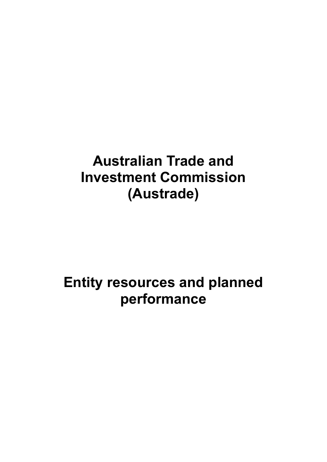# **Australian Trade and Investment Commission (Austrade)**

# **Entity resources and planned performance**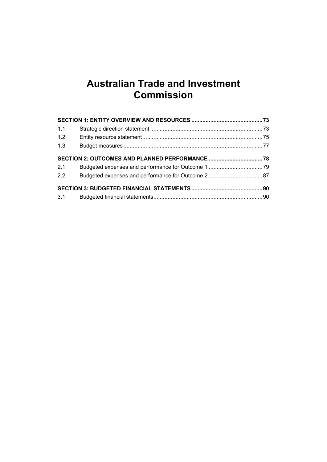# **Australian Trade and Investment Commission**

| 1.1 |  |
|-----|--|
| 1.2 |  |
| 1.3 |  |
|     |  |
| 2.1 |  |
| 2.2 |  |
|     |  |
|     |  |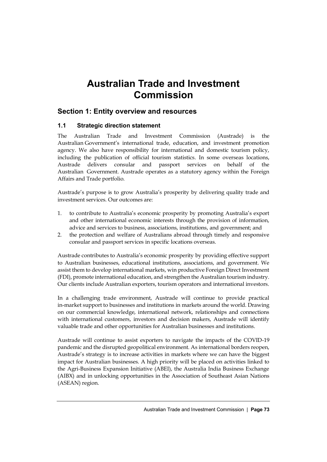# **Australian Trade and Investment Commission**

# <span id="page-4-0"></span>**Section 1: Entity overview and resources**

# <span id="page-4-1"></span>**1.1 Strategic direction statement**

The Australian Trade and Investment Commission (Austrade) is the Australian Government's international trade, education, and investment promotion agency. We also have responsibility for international and domestic tourism policy, including the publication of official tourism statistics. In some overseas locations, Austrade delivers consular and passport services on behalf of the Australian Government. Austrade operates as a statutory agency within the Foreign Affairs and Trade portfolio.

Austrade's purpose is to grow Australia's prosperity by delivering quality trade and investment services. Our outcomes are:

- 1. to contribute to Australia's economic prosperity by promoting Australia's export and other international economic interests through the provision of information, advice and services to business, associations, institutions, and government; and
- 2. the protection and welfare of Australians abroad through timely and responsive consular and passport services in specific locations overseas.

Austrade contributes to Australia's economic prosperity by providing effective support to Australian businesses, educational institutions, associations, and government. We assist them to develop international markets, win productive Foreign Direct Investment (FDI), promote international education, and strengthen the Australian tourism industry. Our clients include Australian exporters, tourism operators and international investors.

In a challenging trade environment, Austrade will continue to provide practical in-market support to businesses and institutions in markets around the world. Drawing on our commercial knowledge, international network, relationships and connections with international customers, investors and decision makers, Austrade will identify valuable trade and other opportunities for Australian businesses and institutions.

Austrade will continue to assist exporters to navigate the impacts of the COVID-19 pandemic and the disrupted geopolitical environment. As international borders reopen, Austrade's strategy is to increase activities in markets where we can have the biggest impact for Australian businesses. A high priority will be placed on activities linked to the Agri-Business Expansion Initiative (ABEI), the Australia India Business Exchange (AIBX) and in unlocking opportunities in the Association of Southeast Asian Nations (ASEAN) region.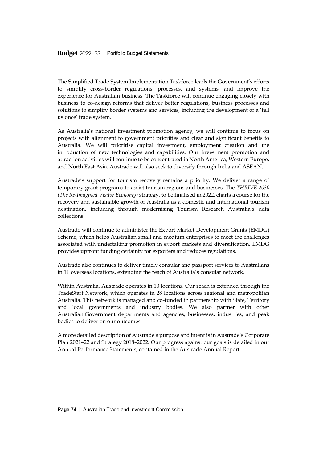The Simplified Trade System Implementation Taskforce leads the Government's efforts to simplify cross-border regulations, processes, and systems, and improve the experience for Australian business. The Taskforce will continue engaging closely with business to co-design reforms that deliver better regulations, business processes and solutions to simplify border systems and services, including the development of a 'tell us once' trade system.

As Australia's national investment promotion agency, we will continue to focus on projects with alignment to government priorities and clear and significant benefits to Australia. We will prioritise capital investment, employment creation and the introduction of new technologies and capabilities. Our investment promotion and attraction activities will continue to be concentrated in North America, Western Europe, and North East Asia. Austrade will also seek to diversify through India and ASEAN.

Austrade's support for tourism recovery remains a priority. We deliver a range of temporary grant programs to assist tourism regions and businesses. The *THRIVE 2030 (The Re-Imagined Visitor Economy)* strategy, to be finalised in 2022, charts a course for the recovery and sustainable growth of Australia as a domestic and international tourism destination, including through modernising Tourism Research Australia's data collections.

Austrade will continue to administer the Export Market Development Grants (EMDG) Scheme, which helps Australian small and medium enterprises to meet the challenges associated with undertaking promotion in export markets and diversification. EMDG provides upfront funding certainty for exporters and reduces regulations.

Austrade also continues to deliver timely consular and passport services to Australians in 11 overseas locations, extending the reach of Australia's consular network.

Within Australia, Austrade operates in 10 locations. Our reach is extended through the TradeStart Network, which operates in 28 locations across regional and metropolitan Australia. This network is managed and co-funded in partnership with State, Territory and local governments and industry bodies. We also partner with other Australian Government departments and agencies, businesses, industries, and peak bodies to deliver on our outcomes.

A more detailed description of Austrade's purpose and intent is in Austrade's Corporate Plan 2021–22 and Strategy 2018–2022. Our progress against our goals is detailed in our Annual Performance Statements, contained in the Austrade Annual Report.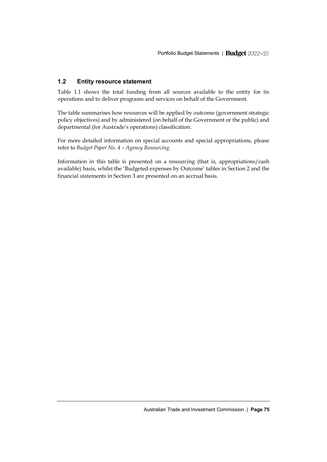# <span id="page-6-0"></span>**1.2 Entity resource statement**

Table 1.1 shows the total funding from all sources available to the entity for its operations and to deliver programs and services on behalf of the Government.

The table summarises how resources will be applied by outcome (government strategic policy objectives) and by administered (on behalf of the Government or the public) and departmental (for Austrade's operations) classification.

For more detailed information on special accounts and special appropriations, please refer to *Budget Paper No. 4 – Agency Resourcing*.

Information in this table is presented on a resourcing (that is, appropriations/cash available) basis, whilst the 'Budgeted expenses by Outcome' tables in Section 2 and the financial statements in Section 3 are presented on an accrual basis.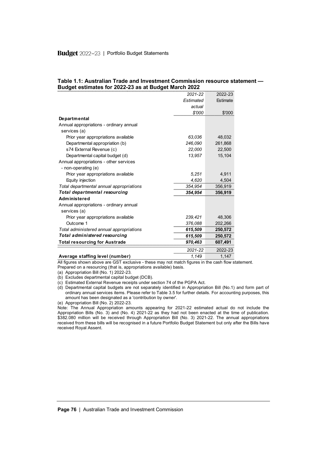#### **Table 1.1: Australian Trade and Investment Commission resource statement — Budget estimates for 2022-23 as at Budget March 2022**

|                                          | 2021-22   | 2022-23  |
|------------------------------------------|-----------|----------|
|                                          | Estimated | Estimate |
|                                          | actual    |          |
|                                          | \$'000    | \$'000   |
| <b>Departmental</b>                      |           |          |
| Annual appropriations - ordinary annual  |           |          |
| services (a)                             |           |          |
| Prior year appropriations available      | 63,036    | 48,032   |
| Departmental appropriation (b)           | 246,090   | 261,868  |
| s74 External Revenue (c)                 | 22,000    | 22,500   |
| Departmental capital budget (d)          | 13,957    | 15,104   |
| Annual appropriations - other services   |           |          |
| - non-operating (e)                      |           |          |
| Prior year appropriations available      | 5,251     | 4,911    |
| Equity injection                         | 4,620     | 4,504    |
| Total departmental annual appropriations | 354,954   | 356,919  |
| Total departmental resourcing            | 354,954   | 356,919  |
| Administered                             |           |          |
| Annual appropriations - ordinary annual  |           |          |
| services (a)                             |           |          |
| Prior year appropriations available      | 239.421   | 48,306   |
| Outcome 1                                | 376,088   | 202,266  |
| Total administered annual appropriations | 615,509   | 250,572  |
| Total administered resourcing            | 615,509   | 250,572  |
| <b>Total resourcing for Austrade</b>     | 970,463   | 607,491  |
|                                          | 2021-22   | 2022-23  |
| Average staffing level (number)          | 1.149     | 1,147    |

All figures shown above are GST exclusive - these may not match figures in the cash flow statement. Prepared on a resourcing (that is, appropriations available) basis.

(a) Appropriation Bill (No. 1) 2022-23.

(b) Excludes departmental capital budget (DCB).

(c) Estimated External Revenue receipts under section 74 of the PGPA Act.

(d) Departmental capital budgets are not separately identified in Appropriation Bill (No.1) and form part of ordinary annual services items. Please refer to Table 3.5 for further details. For accounting purposes, this amount has been designated as a 'contribution by owner'.

(e) Appropriation Bill (No. 2) 2022-23.

Note: The Annual Appropriation amounts appearing for 2021-22 estimated actual do not include the Appropriation Bills (No. 3) and (No. 4) 2021-22 as they had not been enacted at the time of publication. \$382.080 million will be received through Appropriation Bill (No. 3) 2021-22. The annual appropriations received from these bills will be recognised in a future Portfolio Budget Statement but only after the Bills have received Royal Assent.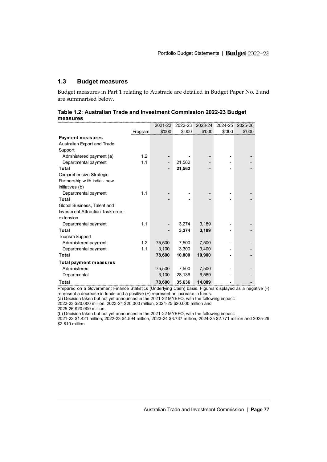# <span id="page-8-0"></span>**1.3 Budget measures**

Budget measures in Part 1 relating to Austrade are detailed in Budget Paper No. 2 and are summarised below.

| measures                          |         |         |         |         |         |         |
|-----------------------------------|---------|---------|---------|---------|---------|---------|
|                                   |         | 2021-22 | 2022-23 | 2023-24 | 2024-25 | 2025-26 |
|                                   | Program | \$'000  | \$'000  | \$'000  | \$'000  | \$'000  |
| <b>Payment measures</b>           |         |         |         |         |         |         |
| Australian Export and Trade       |         |         |         |         |         |         |
| Support                           |         |         |         |         |         |         |
| Administered payment (a)          | 1.2     |         |         |         |         |         |
| Departmental payment              | 1.1     |         | 21,562  |         |         |         |
| <b>Total</b>                      |         |         | 21,562  |         |         |         |
| Comprehensive Strategic           |         |         |         |         |         |         |
| Partnership w ith India - new     |         |         |         |         |         |         |
| initiatives (b)                   |         |         |         |         |         |         |
| Departmental payment              | 1.1     |         |         |         |         |         |
| <b>Total</b>                      |         |         |         |         |         |         |
| Global Business, Talent and       |         |         |         |         |         |         |
| Investment Attraction Taskforce - |         |         |         |         |         |         |
| extension                         |         |         |         |         |         |         |
| Departmental payment              | 1.1     |         | 3,274   | 3,189   |         |         |
| <b>Total</b>                      |         |         | 3,274   | 3,189   |         |         |
| <b>Tourism Support</b>            |         |         |         |         |         |         |
| Administered payment              | 1.2     | 75,500  | 7,500   | 7,500   |         |         |
| Departmental payment              | 1.1     | 3,100   | 3,300   | 3,400   |         |         |
| Total                             |         | 78,600  | 10,800  | 10,900  |         |         |
| <b>Total payment measures</b>     |         |         |         |         |         |         |
| Administered                      |         | 75,500  | 7,500   | 7,500   |         |         |
| Departmental                      |         | 3,100   | 28,136  | 6,589   |         |         |
| Total                             |         | 78,600  | 35.636  | 14.089  |         |         |

| Table 1.2: Australian Trade and Investment Commission 2022-23 Budget |  |  |  |
|----------------------------------------------------------------------|--|--|--|
| measures                                                             |  |  |  |

Prepared on a Government Finance Statistics (Underlying Cash) basis. Figures displayed as a negative (-) represent a decrease in funds and a positive (+) represent an increase in funds.

(a) Decision taken but not yet announced in the 2021-22 MYEFO, with the following impact:

2022-23 \$20.000 million, 2023-24 \$20.000 million, 2024-25 \$20.000 million and

2025-26 \$20.000 million.

(b) Decision taken but not yet announced in the 2021-22 MYEFO, with the following impact:

2021-22 \$1.421 million; 2022-23 \$4.594 million, 2023-24 \$3.737 million, 2024-25 \$2.771 million and 2025-26 \$2.810 million.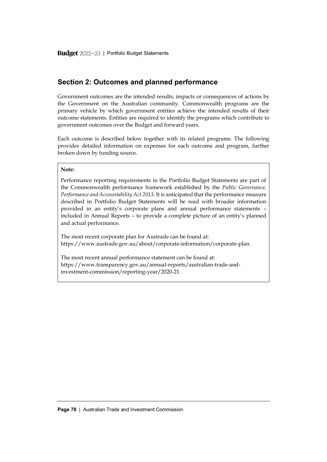# <span id="page-9-0"></span>**Section 2: Outcomes and planned performance**

Government outcomes are the intended results, impacts or consequences of actions by the Government on the Australian community. Commonwealth programs are the primary vehicle by which government entities achieve the intended results of their outcome statements. Entities are required to identify the programs which contribute to government outcomes over the Budget and forward years.

Each outcome is described below together with its related programs. The following provides detailed information on expenses for each outcome and program, further broken down by funding source.

#### **Note:**

Performance reporting requirements in the Portfolio Budget Statements are part of the Commonwealth performance framework established by the *Public Governance, Performance and Accountability Act 2013*. It is anticipated that the performance measure described in Portfolio Budget Statements will be read with broader information provided in an entity's corporate plans and annual performance statements – included in Annual Reports – to provide a complete picture of an entity's planned and actual performance.

The most recent corporate plan for Austrade can be found at: [https://www.austrade.gov.au/about/corporate-information/corporate-plan.](https://www.austrade.gov.au/about/corporate-information/corporate-plan)

The most recent annual performance statement can be found at: [https://www.transparency.gov.au/annual-reports/australian-trade-and](https://www.transparency.gov.au/annual-reports/australian-trade-and-investment-commission/reporting-year/2020-21)[investment-commission/reporting-year/2020-21.](https://www.transparency.gov.au/annual-reports/australian-trade-and-investment-commission/reporting-year/2020-21)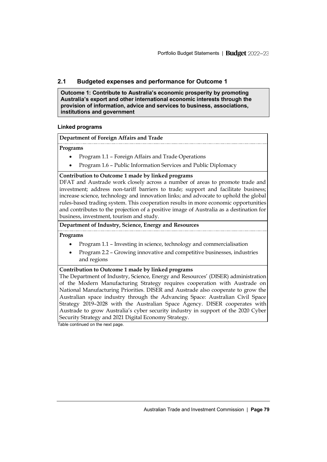# <span id="page-10-0"></span>**2.1 Budgeted expenses and performance for Outcome 1**

**Outcome 1: Contribute to Australia's economic prosperity by promoting Australia's export and other international economic interests through the provision of information, advice and services to business, associations, institutions and government**

# **Linked programs**

# **Department of Foreign Affairs and Trade**

# **Programs**

- Program 1.1 Foreign Affairs and Trade Operations
- Program 1.6 Public Information Services and Public Diplomacy

# **Contribution to Outcome 1 made by linked programs**

DFAT and Austrade work closely across a number of areas to promote trade and investment; address non-tariff barriers to trade; support and facilitate business; increase science, technology and innovation links; and advocate to uphold the global rules-based trading system. This cooperation results in more economic opportunities and contributes to the projection of a positive image of Australia as a destination for business, investment, tourism and study.

# **Department of Industry, Science, Energy and Resources**

# **Programs**

- Program 1.1 Investing in science, technology and commercialisation
- Program 2.2 Growing innovative and competitive businesses, industries and regions

# **Contribution to Outcome 1 made by linked programs**

The Department of Industry, Science, Energy and Resources' (DISER) administration of the Modern Manufacturing Strategy requires cooperation with Austrade on National Manufacturing Priorities. DISER and Austrade also cooperate to grow the Australian space industry through the Advancing Space: Australian Civil Space Strategy 2019–2028 with the Australian Space Agency. DISER cooperates with Austrade to grow Australia's cyber security industry in support of the 2020 Cyber Security Strategy and 2021 Digital Economy Strategy.

Table continued on the next page.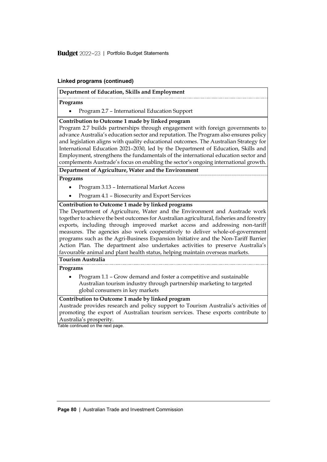Budget 2022-23 | Portfolio Budget Statements

# **Linked programs (continued)**

# **Department of Education, Skills and Employment**

# **Programs**

• Program 2.7 – International Education Support

# **Contribution to Outcome 1 made by linked program**

Program 2.7 builds partnerships through engagement with foreign governments to advance Australia's education sector and reputation. The Program also ensures policy and legislation aligns with quality educational outcomes. The Australian Strategy for International Education 2021–2030, led by the Department of Education, Skills and Employment, strengthens the fundamentals of the international education sector and complements Austrade's focus on enabling the sector's ongoing international growth.

# **Department of Agriculture, Water and the Environment**

# **Programs**

- Program 3.13 International Market Access
- Program 4.1 Biosecurity and Export Services

# **Contribution to Outcome 1 made by linked programs**

The Department of Agriculture, Water and the Environment and Austrade work together to achieve the best outcomes for Australian agricultural, fisheries and forestry exports, including through improved market access and addressing non-tariff measures. The agencies also work cooperatively to deliver whole-of-government programs such as the Agri-Business Expansion Initiative and the Non-Tariff Barrier Action Plan. The department also undertakes activities to preserve Australia's favourable animal and plant health status, helping maintain overseas markets.

# **Tourism Australia**

# **Programs**

• Program 1.1 – Grow demand and foster a competitive and sustainable Australian tourism industry through partnership marketing to targeted global consumers in key markets

# **Contribution to Outcome 1 made by linked program**

Austrade provides research and policy support to Tourism Australia's activities of promoting the export of Australian tourism services. These exports contribute to Australia's prosperity.

Table continued on the next page.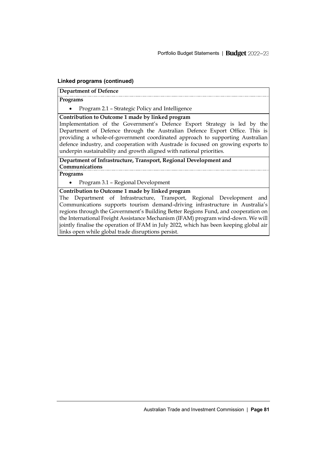# **Linked programs (continued)**

# **Department of Defence**

# **Programs**

• Program 2.1 – Strategic Policy and Intelligence

**Contribution to Outcome 1 made by linked program**

Implementation of the Government's Defence Export Strategy is led by the Department of Defence through the Australian Defence Export Office. This is providing a whole-of-government coordinated approach to supporting Australian defence industry, and cooperation with Austrade is focused on growing exports to underpin sustainability and growth aligned with national priorities.

**Department of Infrastructure, Transport, Regional Development and Communications**

**Programs**

• Program 3.1 – Regional Development

**Contribution to Outcome 1 made by linked program**

The Department of Infrastructure, Transport, Regional Development and Communications supports tourism demand-driving infrastructure in Australia's regions through the Government's Building Better Regions Fund, and cooperation on the International Freight Assistance Mechanism (IFAM) program wind-down. We will jointly finalise the operation of IFAM in July 2022, which has been keeping global air links open while global trade disruptions persist.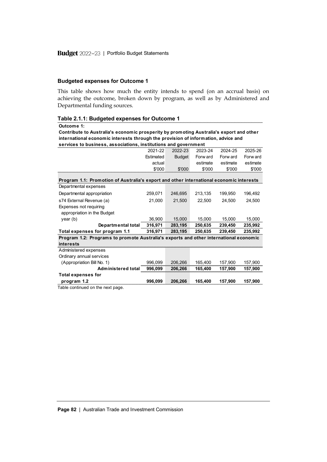#### **Budgeted expenses for Outcome 1**

This table shows how much the entity intends to spend (on an accrual basis) on achieving the outcome, broken down by program, as well as by Administered and Departmental funding sources.

**Table 2.1.1: Budgeted expenses for Outcome 1** 2021-22 Estimated actual \$'000 2022-23 Budget \$'000 2023-24 Forw ard estimate \$'000 2024-25 Forw ard estimate \$'000 2025-26  $\frac{2025-26}{\text{Forward}}$ estimate \$'000 Departmental expenses Departmental appropriation 259,071 246,695 213,135 199,950 196,492 s74 External Revenue (a) 21,000 21,500 22,500 24,500 24,500 Expenses not requiring appropriation in the Budget year (b) 36,900 15,000 15,000 15,000 15,000 **Departmental total 316,971 283,195 250,635 239,450 235,992 Total expenses for program 1.1 316,971 283,195 250,635 239,450 235,992 Outcome 1: Contribute to Australia's economic prosperity by promoting Australia's export and other international economic interests through the provision of information, advice and services to business, associations, institutions and government Program 1.1: Promotion of Australia's export and other international economic interests**

| Total expenses for program 1.1                                                        | 316.971 | 283.195 | 250.635 | 239,450 | 235.992 |
|---------------------------------------------------------------------------------------|---------|---------|---------|---------|---------|
| Program 1.2: Programs to promote Australia's exports and other international economic |         |         |         |         |         |
| interests                                                                             |         |         |         |         |         |
| Administered expenses                                                                 |         |         |         |         |         |
| Ordinary annual services                                                              |         |         |         |         |         |
| (Appropriation Bill No. 1)                                                            | 996.099 | 206.266 | 165.400 | 157.900 | 157.900 |
| Administered total                                                                    | 996.099 | 206.266 | 165,400 | 157.900 | 157.900 |
| <b>Total expenses for</b>                                                             |         |         |         |         |         |
| program 1.2                                                                           | 996.099 | 206.266 | 165.400 | 157.900 | 157.900 |

Table continued on the next page.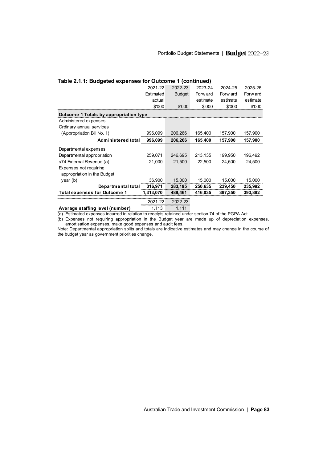| Table 2.1.1: Budgeted expenses for Outcome 1 (continued) |           |               |          |          |          |  |  |
|----------------------------------------------------------|-----------|---------------|----------|----------|----------|--|--|
|                                                          | 2021-22   | 2022-23       | 2023-24  | 2024-25  | 2025-26  |  |  |
|                                                          | Estimated | <b>Budget</b> | Forw ard | Forw ard | Forw ard |  |  |
|                                                          | actual    |               | estimate | estimate | estimate |  |  |
|                                                          | \$'000    | \$'000        | \$'000   | \$'000   | \$'000   |  |  |
| Outcome 1 Totals by appropriation type                   |           |               |          |          |          |  |  |
| Administered expenses                                    |           |               |          |          |          |  |  |
| Ordinary annual services                                 |           |               |          |          |          |  |  |
| (Appropriation Bill No. 1)                               | 996,099   | 206,266       | 165,400  | 157,900  | 157,900  |  |  |
| Administered total                                       | 996,099   | 206,266       | 165,400  | 157,900  | 157,900  |  |  |
| Departmental expenses                                    |           |               |          |          |          |  |  |
| Departmental appropriation                               | 259.071   | 246,695       | 213,135  | 199,950  | 196,492  |  |  |
| s74 External Revenue (a)                                 | 21,000    | 21,500        | 22,500   | 24,500   | 24,500   |  |  |
| Expenses not requiring                                   |           |               |          |          |          |  |  |
| appropriation in the Budget                              |           |               |          |          |          |  |  |
| year(b)                                                  | 36.900    | 15,000        | 15,000   | 15,000   | 15,000   |  |  |
| Departmental total                                       | 316,971   | 283,195       | 250,635  | 239,450  | 235,992  |  |  |
| <b>Total expenses for Outcome 1</b>                      | 1,313,070 | 489,461       | 416,035  | 397,350  | 393,892  |  |  |
|                                                          | 2021-22   | 2022-23       |          |          |          |  |  |
| Average staffing level (number)                          | 1,113     | 1,111         |          |          |          |  |  |

(a) Estimated expenses incurred in relation to receipts retained under section 74 of the PGPA Act.

(b) Expenses not requiring appropriation in the Budget year are made up of depreciation expenses, amortisation expenses, make good expenses and audit fees.

Note: Departmental appropriation splits and totals are indicative estimates and may change in the course of the budget year as government priorities change.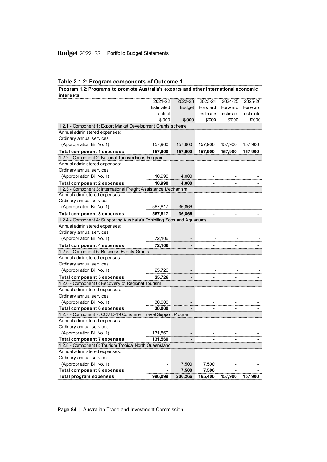# **Table 2.1.2: Program components of Outcome 1**

# **Program 1.2: Programs to promote Australia's exports and other international economic interests**

| interests                                                                 |           |               |          |          |          |
|---------------------------------------------------------------------------|-----------|---------------|----------|----------|----------|
|                                                                           | 2021-22   | 2022-23       | 2023-24  | 2024-25  | 2025-26  |
|                                                                           | Estimated | <b>Budget</b> | Forw ard | Forw ard | Forw ard |
|                                                                           | actual    |               | estimate | estimate | estimate |
|                                                                           | \$'000    | \$'000        | \$'000   | \$'000   | \$'000   |
| 1.2.1 - Component 1: Export Market Development Grants scheme              |           |               |          |          |          |
| Annual administered expenses:                                             |           |               |          |          |          |
| Ordinary annual services                                                  |           |               |          |          |          |
| (Appropriation Bill No. 1)                                                | 157,900   | 157,900       | 157,900  | 157,900  | 157,900  |
| <b>Total component 1 expenses</b>                                         | 157,900   | 157,900       | 157,900  | 157,900  | 157,900  |
| 1.2.2 - Component 2: National Tourism Icons Program                       |           |               |          |          |          |
| Annual administered expenses:                                             |           |               |          |          |          |
| Ordinary annual services                                                  |           |               |          |          |          |
| (Appropriation Bill No. 1)                                                | 10,990    | 4,000         |          |          |          |
| <b>Total component 2 expenses</b>                                         | 10,990    | 4,000         |          |          |          |
| 1.2.3 - Component 3: International Freight Assistance Mechanism           |           |               |          |          |          |
| Annual administered expenses:                                             |           |               |          |          |          |
| Ordinary annual services                                                  |           |               |          |          |          |
| (Appropriation Bill No. 1)                                                | 567,817   | 36,866        |          |          |          |
| <b>Total component 3 expenses</b>                                         | 567,817   | 36,866        |          |          |          |
| 1.2.4 - Component 4: Supporting Australia's Exhibiting Zoos and Aquariums |           |               |          |          |          |
| Annual administered expenses:                                             |           |               |          |          |          |
| Ordinary annual services                                                  |           |               |          |          |          |
| (Appropriation Bill No. 1)                                                | 72,106    |               |          |          |          |
| <b>Total component 4 expenses</b>                                         | 72,106    |               |          |          |          |
| 1.2.5 - Component 5: Business Events Grants                               |           |               |          |          |          |
| Annual administered expenses:                                             |           |               |          |          |          |
| Ordinary annual services                                                  |           |               |          |          |          |
| (Appropriation Bill No. 1)                                                | 25,726    |               |          |          |          |
| <b>Total component 5 expenses</b>                                         | 25,726    |               |          |          |          |
| 1.2.6 - Component 6: Recovery of Regional Tourism                         |           |               |          |          |          |
| Annual administered expenses:                                             |           |               |          |          |          |
| Ordinary annual services                                                  |           |               |          |          |          |
| (Appropriation Bill No. 1)                                                | 30,000    |               |          |          |          |
| <b>Total component 6 expenses</b>                                         | 30,000    |               |          |          |          |
| 1.2.7 - Component 7: COVID-19 Consumer Travel Support Program             |           |               |          |          |          |
| Annual administered expenses:                                             |           |               |          |          |          |
| Ordinary annual services                                                  |           |               |          |          |          |
| (Appropriation Bill No. 1)                                                | 131,560   |               |          |          |          |
| <b>Total component 7 expenses</b>                                         | 131,560   |               |          |          |          |
| 1.2.8 - Component 8: Tourism Tropical North Queensland                    |           |               |          |          |          |
| Annual administered expenses:                                             |           |               |          |          |          |
| Ordinary annual services                                                  |           |               |          |          |          |
| (Appropriation Bill No. 1)                                                |           | 7,500         | 7,500    |          |          |
| <b>Total component 8 expenses</b>                                         |           | 7,500         | 7,500    |          |          |
| <b>Total program expenses</b>                                             | 996,099   | 206,266       | 165,400  | 157,900  | 157,900  |

**Page 84** | Australian Trade and Investment Commission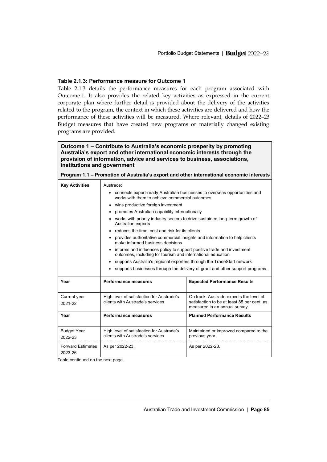# **Table 2.1.3: Performance measure for Outcome 1**

Table 2.1.3 details the performance measures for each program associated with Outcome 1. It also provides the related key activities as expressed in the current corporate plan where further detail is provided about the delivery of the activities related to the program, the context in which these activities are delivered and how the performance of these activities will be measured. Where relevant, details of 2022–23 Budget measures that have created new programs or materially changed existing programs are provided.

| Outcome 1 – Contribute to Australia's economic prosperity by promoting<br>Australia's export and other international economic interests through the<br>provision of information, advice and services to business, associations,<br>institutions and government |                                                                                                                                          |  |  |  |  |  |  |
|----------------------------------------------------------------------------------------------------------------------------------------------------------------------------------------------------------------------------------------------------------------|------------------------------------------------------------------------------------------------------------------------------------------|--|--|--|--|--|--|
| Program 1.1 – Promotion of Australia's export and other international economic interests                                                                                                                                                                       |                                                                                                                                          |  |  |  |  |  |  |
| <b>Key Activities</b>                                                                                                                                                                                                                                          | Austrade:<br>connects export-ready Australian businesses to overseas opportunities and<br>works with them to achieve commercial outcomes |  |  |  |  |  |  |

| wins productive foreign investment  |                                                                                                                                            |                                                                                                                         |  |  |  |  |
|-------------------------------------|--------------------------------------------------------------------------------------------------------------------------------------------|-------------------------------------------------------------------------------------------------------------------------|--|--|--|--|
|                                     | promotes Australian capability internationally<br>٠                                                                                        |                                                                                                                         |  |  |  |  |
|                                     | works with priority industry sectors to drive sustained long-term growth of<br>٠<br>Australian exports                                     |                                                                                                                         |  |  |  |  |
|                                     | reduces the time, cost and risk for its clients<br>$\bullet$                                                                               |                                                                                                                         |  |  |  |  |
|                                     | ٠<br>make informed business decisions                                                                                                      | provides authoritative commercial insights and information to help clients                                              |  |  |  |  |
|                                     | informs and influences policy to support positive trade and investment<br>٠<br>outcomes, including for tourism and international education |                                                                                                                         |  |  |  |  |
|                                     | supports Australia's regional exporters through the TradeStart network<br>٠                                                                |                                                                                                                         |  |  |  |  |
|                                     | $\bullet$                                                                                                                                  | supports businesses through the delivery of grant and other support programs.                                           |  |  |  |  |
| Year                                | <b>Performance measures</b>                                                                                                                | <b>Expected Performance Results</b>                                                                                     |  |  |  |  |
| Current year<br>2021-22             | High level of satisfaction for Austrade's<br>clients with Austrade's services.                                                             | On track. Austrade expects the level of<br>satisfaction to be at least 85 per cent, as<br>measured in an annual survey. |  |  |  |  |
| Year                                | <b>Performance measures</b>                                                                                                                | <b>Planned Performance Results</b>                                                                                      |  |  |  |  |
| <b>Budget Year</b><br>2022-23       | High level of satisfaction for Austrade's<br>clients with Austrade's services.                                                             | Maintained or improved compared to the<br>previous year.                                                                |  |  |  |  |
| <b>Forward Estimates</b><br>2023-26 | As per 2022-23.<br>As per 2022-23.                                                                                                         |                                                                                                                         |  |  |  |  |

Table continued on the next page.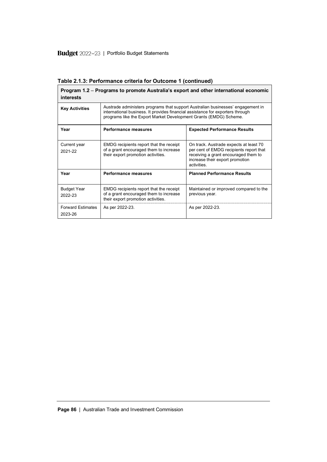| Program 1.2 – Programs to promote Australia's export and other international economic<br>interests |                                                                                                                                                                                                                                        |                                                                                                                                                                            |  |  |  |  |
|----------------------------------------------------------------------------------------------------|----------------------------------------------------------------------------------------------------------------------------------------------------------------------------------------------------------------------------------------|----------------------------------------------------------------------------------------------------------------------------------------------------------------------------|--|--|--|--|
| <b>Key Activities</b>                                                                              | Austrade administers programs that support Australian businesses' engagement in<br>international business. It provides financial assistance for exporters through<br>programs like the Export Market Development Grants (EMDG) Scheme. |                                                                                                                                                                            |  |  |  |  |
| Year                                                                                               | <b>Performance measures</b>                                                                                                                                                                                                            | <b>Expected Performance Results</b>                                                                                                                                        |  |  |  |  |
| Current year<br>2021-22                                                                            | EMDG recipients report that the receipt<br>of a grant encouraged them to increase<br>their export promotion activities.                                                                                                                | On track. Austrade expects at least 70<br>per cent of EMDG recipients report that<br>receiving a grant encouraged them to<br>increase their export promotion<br>activities |  |  |  |  |
| Year                                                                                               | <b>Performance measures</b>                                                                                                                                                                                                            | <b>Planned Performance Results</b>                                                                                                                                         |  |  |  |  |
| <b>Budget Year</b><br>2022-23                                                                      | EMDG recipients report that the receipt<br>of a grant encouraged them to increase<br>their export promotion activities.                                                                                                                | Maintained or improved compared to the<br>previous year.                                                                                                                   |  |  |  |  |
| <b>Forward Estimates</b><br>2023-26                                                                | As per 2022-23.                                                                                                                                                                                                                        | As per 2022-23.                                                                                                                                                            |  |  |  |  |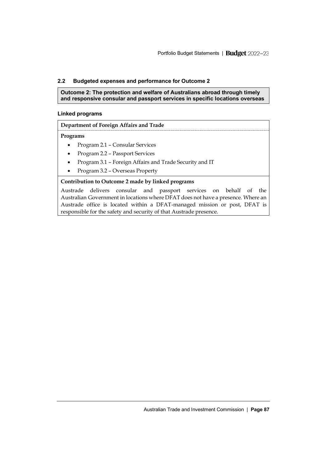# <span id="page-18-0"></span>**2.2 Budgeted expenses and performance for Outcome 2**

**Outcome 2: The protection and welfare of Australians abroad through timely and responsive consular and passport services in specific locations overseas**

# **Linked programs**

# **Department of Foreign Affairs and Trade**

# **Programs**

- Program 2.1 Consular Services
- Program 2.2 Passport Services
- Program 3.1 Foreign Affairs and Trade Security and IT
- Program 3.2 Overseas Property

# **Contribution to Outcome 2 made by linked programs**

Austrade delivers consular and passport services on behalf of the Australian Government in locations where DFAT does not have a presence. Where an Austrade office is located within a DFAT-managed mission or post, DFAT is responsible for the safety and security of that Austrade presence.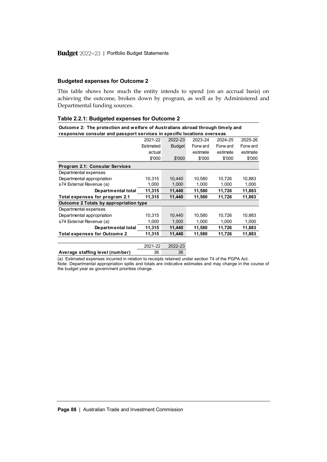# **Budgeted expenses for Outcome 2**

This table shows how much the entity intends to spend (on an accrual basis) on achieving the outcome, broken down by program, as well as by Administered and Departmental funding sources.

| Outcome 2: The protection and welfare of Australians abroad through timely and<br>responsive consular and passport services in specific locations overseas |         |          |          |          |  |  |  |
|------------------------------------------------------------------------------------------------------------------------------------------------------------|---------|----------|----------|----------|--|--|--|
| 2021-22                                                                                                                                                    | 2022-23 | 2023-24  | 2024-25  | 2025-26  |  |  |  |
| Estimated                                                                                                                                                  | Budget  | Forw ard | Forw ard | Forw ard |  |  |  |
| actual                                                                                                                                                     |         | estimate | estimate | estimate |  |  |  |
| \$'000                                                                                                                                                     | \$'000  | \$'000   | \$'000   | \$'000   |  |  |  |
|                                                                                                                                                            |         |          |          |          |  |  |  |
|                                                                                                                                                            |         |          |          |          |  |  |  |
| 10.315                                                                                                                                                     | 10.440  | 10.580   | 10.726   | 10.883   |  |  |  |
| 1.000                                                                                                                                                      | 1.000   | 1.000    | 1.000    | 1,000    |  |  |  |
| 11.315                                                                                                                                                     | 11,440  | 11,580   | 11,726   | 11,883   |  |  |  |
| 11,315                                                                                                                                                     | 11,440  | 11,580   | 11,726   | 11,883   |  |  |  |
| Outcome 2 Totals by appropriation type                                                                                                                     |         |          |          |          |  |  |  |
|                                                                                                                                                            |         |          |          |          |  |  |  |
| 10.315                                                                                                                                                     | 10.440  | 10.580   | 10.726   | 10.883   |  |  |  |
| 1.000                                                                                                                                                      | 1.000   | 1.000    | 1.000    | 1,000    |  |  |  |
| 11,315                                                                                                                                                     | 11,440  | 11,580   | 11,726   | 11,883   |  |  |  |
| 11.315                                                                                                                                                     | 11.440  | 11,580   | 11.726   | 11,883   |  |  |  |
|                                                                                                                                                            | 2022-23 |          |          |          |  |  |  |
| 36                                                                                                                                                         | 36      |          |          |          |  |  |  |
|                                                                                                                                                            | 2021-22 |          |          |          |  |  |  |

**Table 2.2.1: Budgeted expenses for Outcome 2**

(a) Estimated expenses incurred in relation to receipts retained under section 74 of the PGPA Act. Note: Departmental appropriation splits and totals are indicative estimates and may change in the course of the budget year as government priorities change.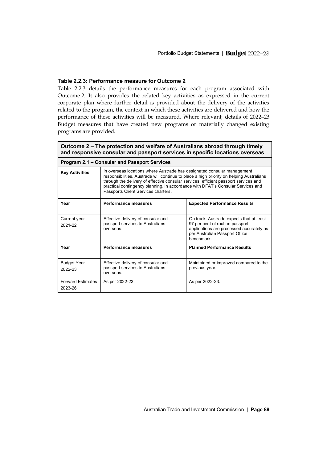# **Table 2.2.3: Performance measure for Outcome 2**

Table 2.2.3 details the performance measures for each program associated with Outcome 2. It also provides the related key activities as expressed in the current corporate plan where further detail is provided about the delivery of the activities related to the program, the context in which these activities are delivered and how the performance of these activities will be measured. Where relevant, details of 2022–23 Budget measures that have created new programs or materially changed existing programs are provided.

|                                     | Outcome 2 – The protection and welfare of Australians abroad through timely<br>and responsive consular and passport services in specific locations overseas                                                                                                                                                                                                                           |                                                                                                                                                                        |  |  |  |  |
|-------------------------------------|---------------------------------------------------------------------------------------------------------------------------------------------------------------------------------------------------------------------------------------------------------------------------------------------------------------------------------------------------------------------------------------|------------------------------------------------------------------------------------------------------------------------------------------------------------------------|--|--|--|--|
|                                     | Program 2.1 – Consular and Passport Services                                                                                                                                                                                                                                                                                                                                          |                                                                                                                                                                        |  |  |  |  |
| <b>Key Activities</b>               | In overseas locations where Austrade has designated consular management<br>responsibilities, Austrade will continue to place a high priority on helping Australians<br>through the delivery of effective consular services, efficient passport services and<br>practical contingency planning, in accordance with DFAT's Consular Services and<br>Passports Client Services charters. |                                                                                                                                                                        |  |  |  |  |
| Year                                | Performance measures                                                                                                                                                                                                                                                                                                                                                                  | <b>Expected Performance Results</b>                                                                                                                                    |  |  |  |  |
| Current year<br>2021-22             | Effective delivery of consular and<br>passport services to Australians<br>overseas                                                                                                                                                                                                                                                                                                    | On track. Austrade expects that at least<br>97 per cent of routine passport<br>applications are processed accurately as<br>per Australian Passport Office<br>benchmark |  |  |  |  |
| Year                                | Performance measures                                                                                                                                                                                                                                                                                                                                                                  | <b>Planned Performance Results</b>                                                                                                                                     |  |  |  |  |
| <b>Budget Year</b><br>2022-23       | Effective delivery of consular and<br>passport services to Australians<br>overseas.                                                                                                                                                                                                                                                                                                   | Maintained or improved compared to the<br>previous year.                                                                                                               |  |  |  |  |
| <b>Forward Estimates</b><br>2023-26 | As per 2022-23.                                                                                                                                                                                                                                                                                                                                                                       | As per 2022-23.                                                                                                                                                        |  |  |  |  |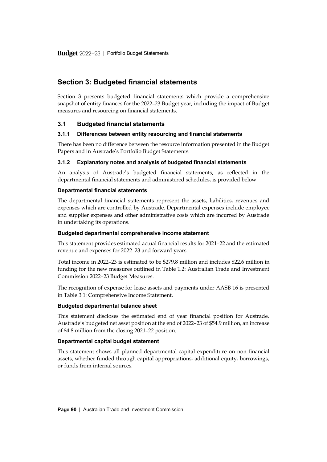# <span id="page-21-0"></span>**Section 3: Budgeted financial statements**

Section 3 presents budgeted financial statements which provide a comprehensive snapshot of entity finances for the 2022–23 Budget year, including the impact of Budget measures and resourcing on financial statements.

# <span id="page-21-1"></span>**3.1 Budgeted financial statements**

# **3.1.1 Differences between entity resourcing and financial statements**

There has been no difference between the resource information presented in the Budget Papers and in Austrade's Portfolio Budget Statements.

# **3.1.2 Explanatory notes and analysis of budgeted financial statements**

An analysis of Austrade's budgeted financial statements, as reflected in the departmental financial statements and administered schedules, is provided below.

# **Departmental financial statements**

The departmental financial statements represent the assets, liabilities, revenues and expenses which are controlled by Austrade. Departmental expenses include employee and supplier expenses and other administrative costs which are incurred by Austrade in undertaking its operations.

# **Budgeted departmental comprehensive income statement**

This statement provides estimated actual financial results for 2021–22 and the estimated revenue and expenses for 2022–23 and forward years.

Total income in 2022–23 is estimated to be \$279.8 million and includes \$22.6 million in funding for the new measures outlined in Table 1.2: Australian Trade and Investment Commission 2022–23 Budget Measures.

The recognition of expense for lease assets and payments under AASB 16 is presented in Table 3.1: Comprehensive Income Statement.

# **Budgeted departmental balance sheet**

This statement discloses the estimated end of year financial position for Austrade. Austrade's budgeted net asset position at the end of 2022–23 of \$54.9 million, an increase of \$4.8 million from the closing 2021–22 position.

# **Departmental capital budget statement**

This statement shows all planned departmental capital expenditure on non-financial assets, whether funded through capital appropriations, additional equity, borrowings, or funds from internal sources.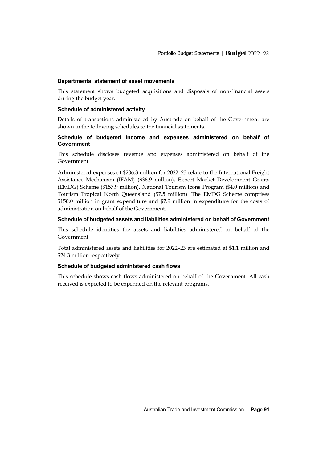### **Departmental statement of asset movements**

This statement shows budgeted acquisitions and disposals of non-financial assets during the budget year.

# **Schedule of administered activity**

Details of transactions administered by Austrade on behalf of the Government are shown in the following schedules to the financial statements.

# **Schedule of budgeted income and expenses administered on behalf of Government**

This schedule discloses revenue and expenses administered on behalf of the Government.

Administered expenses of \$206.3 million for 2022–23 relate to the International Freight Assistance Mechanism (IFAM) (\$36.9 million), Export Market Development Grants (EMDG) Scheme (\$157.9 million), National Tourism Icons Program (\$4.0 million) and Tourism Tropical North Queensland (\$7.5 million). The EMDG Scheme comprises \$150.0 million in grant expenditure and \$7.9 million in expenditure for the costs of administration on behalf of the Government.

# **Schedule of budgeted assets and liabilities administered on behalf of Government**

This schedule identifies the assets and liabilities administered on behalf of the Government.

Total administered assets and liabilities for 2022–23 are estimated at \$1.1 million and \$24.3 million respectively.

#### **Schedule of budgeted administered cash flows**

This schedule shows cash flows administered on behalf of the Government. All cash received is expected to be expended on the relevant programs.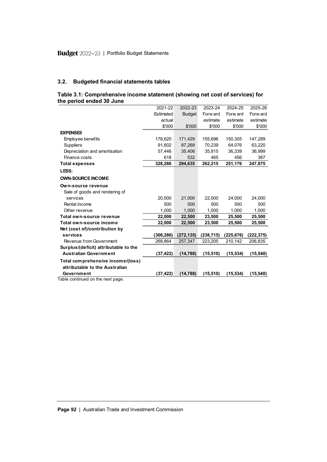# **3.2. Budgeted financial statements tables**

| Table 3.1: Comprehensive income statement (showing net cost of services) for |  |  |
|------------------------------------------------------------------------------|--|--|
| the period ended 30 June                                                     |  |  |

| the period ended 30 June              |           |               |            |            |            |
|---------------------------------------|-----------|---------------|------------|------------|------------|
|                                       | 2021-22   | 2022-23       | 2023-24    | 2024-25    | 2025-26    |
|                                       | Estimated | <b>Budget</b> | Forw ard   | Forw ard   | Forw ard   |
|                                       | actual    |               | estimate   | estimate   | estimate   |
|                                       | \$'000    | \$'000        | \$'000     | \$'000     | \$'000     |
| <b>EXPENSES</b>                       |           |               |            |            |            |
| Employee benefits                     | 178,620   | 171,429       | 155,696    | 150,305    | 147,289    |
| <b>Suppliers</b>                      | 91,602    | 87,268        | 70,239     | 64,076     | 63,220     |
| Depreciation and amortisation         | 57,446    | 35,406        | 35,815     | 36,339     | 36,999     |
| Finance costs                         | 618       | 532           | 465        | 456        | 367        |
| <b>Total expenses</b>                 | 328,286   | 294,635       | 262,215    | 251,176    | 247,875    |
| LESS:                                 |           |               |            |            |            |
| <b>OWN-SOURCE INCOME</b>              |           |               |            |            |            |
| Own-source revenue                    |           |               |            |            |            |
| Sale of goods and rendering of        |           |               |            |            |            |
| services                              | 20,500    | 21,000        | 22,000     | 24,000     | 24,000     |
| Rental income                         | 500       | 500           | 500        | 500        | 500        |
| Other revenue                         | 1,000     | 1.000         | 1,000      | 1,000      | 1,000      |
| Total own-source revenue              | 22,000    | 22,500        | 23,500     | 25,500     | 25,500     |
| Total own-source income               | 22,000    | 22,500        | 23,500     | 25,500     | 25,500     |
| Net (cost of)/contribution by         |           |               |            |            |            |
| services                              | (306,286) | (272, 135)    | (238, 715) | (225, 676) | (222, 375) |
| Revenue from Government               | 268,864   | 257,347       | 223,205    | 210,142    | 206,835    |
| Surplus/(deficit) attributable to the |           |               |            |            |            |
| <b>Australian Government</b>          | (37, 422) | (14, 788)     | (15, 510)  | (15, 534)  | (15, 540)  |
| Total comprehensive income/(loss)     |           |               |            |            |            |
| attributable to the Australian        |           |               |            |            |            |
| Government                            | (37, 422) | (14, 788)     | (15, 510)  | (15, 534)  | (15, 540)  |
| Tahla continuad on tha navt naga      |           |               |            |            |            |

Table continued on the next page.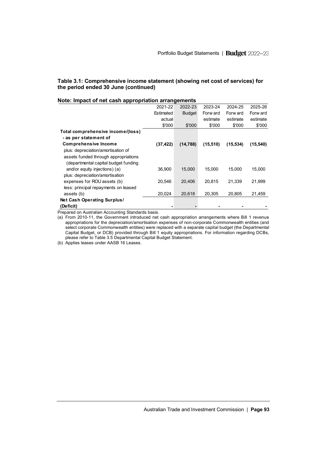# **Table 3.1: Comprehensive income statement (showing net cost of services) for the period ended 30 June (continued)**

| Note: Impact of net cash appropriation arrangements |           |               |           |           |           |
|-----------------------------------------------------|-----------|---------------|-----------|-----------|-----------|
|                                                     | 2021-22   | 2022-23       | 2023-24   | 2024-25   | 2025-26   |
|                                                     | Estimated | <b>Budget</b> | Forw ard  | Forw ard  | Forw ard  |
|                                                     | actual    |               | estimate  | estimate  | estimate  |
|                                                     | \$'000    | \$'000        | \$'000    | \$'000    | \$'000    |
| Total comprehensive income/(loss)                   |           |               |           |           |           |
| - as per statement of                               |           |               |           |           |           |
| <b>Comprehensive Income</b>                         | (37, 422) | (14, 788)     | (15, 510) | (15, 534) | (15, 540) |
| plus: depreciation/amortisation of                  |           |               |           |           |           |
| assets funded through appropriations                |           |               |           |           |           |
| (departmental capital budget funding                |           |               |           |           |           |
| and/or equity injections) (a)                       | 36.900    | 15.000        | 15.000    | 15.000    | 15.000    |
| plus: depreciation/amortisation                     |           |               |           |           |           |
| expenses for ROU assets (b)                         | 20,546    | 20.406        | 20,815    | 21,339    | 21,999    |
| less: principal repayments on leased                |           |               |           |           |           |
| assets (b)                                          | 20,024    | 20.618        | 20.305    | 20.805    | 21,459    |
| Net Cash Operating Surplus/                         |           |               |           |           |           |
| (Deficit)                                           |           |               |           |           |           |
| arad an Australian Assaunting Ctandards hasis       |           |               |           |           |           |

### **Note: Impact of net cash appropriation arrangements**

Prepared on Australian Accounting Standards basis.

(a) From 2010-11, the Government introduced net cash appropriation arrangements where Bill 1 revenue appropriations for the depreciation/amortisation expenses of non-corporate Commonwealth entities (and select corporate Commonwealth entities) were replaced with a separate capital budget (the Departmental Capital Budget, or DCB) provided through Bill 1 equity appropriations. For information regarding DCBs, please refer to Table 3.5 Departmental Capital Budget Statement.

(b) Applies leases under AASB 16 Leases.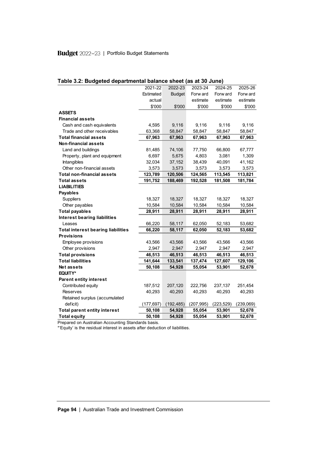| Table 3.2: Budgeted departmental balance sheet (as at 30 June) |            |               |            |            |           |
|----------------------------------------------------------------|------------|---------------|------------|------------|-----------|
|                                                                | 2021-22    | 2022-23       | 2023-24    | 2024-25    | 2025-26   |
|                                                                | Estimated  | <b>Budget</b> | Forw ard   | Forw ard   | Forw ard  |
|                                                                | actual     |               | estimate   | estimate   | estimate  |
|                                                                | \$'000     | \$'000        | \$'000     | \$'000     | \$'000    |
| <b>ASSETS</b>                                                  |            |               |            |            |           |
| <b>Financial assets</b>                                        |            |               |            |            |           |
| Cash and cash equivalents                                      | 4,595      | 9,116         | 9,116      | 9,116      | 9,116     |
| Trade and other receivables                                    | 63,368     | 58,847        | 58,847     | 58,847     | 58,847    |
| <b>Total financial assets</b>                                  | 67,963     | 67,963        | 67,963     | 67,963     | 67,963    |
| <b>Non-financial assets</b>                                    |            |               |            |            |           |
| Land and buildings                                             | 81,485     | 74,106        | 77,750     | 66,800     | 67,777    |
| Property, plant and equipment                                  | 6,697      | 5,675         | 4,803      | 3,081      | 1,309     |
| Intangibles                                                    | 32,034     | 37,152        | 38,439     | 40,091     | 41,162    |
| Other non-financial assets                                     | 3,573      | 3,573         | 3,573      | 3,573      | 3,573     |
| <b>Total non-financial assets</b>                              | 123,789    | 120,506       | 124,565    | 113,545    | 113,821   |
| Total assets                                                   | 191,752    | 188,469       | 192,528    | 181,508    | 181,784   |
| <b>LIABILITIES</b>                                             |            |               |            |            |           |
| <b>Payables</b>                                                |            |               |            |            |           |
| <b>Suppliers</b>                                               | 18,327     | 18,327        | 18,327     | 18,327     | 18,327    |
| Other payables                                                 | 10,584     | 10,584        | 10,584     | 10,584     | 10,584    |
| <b>Total payables</b>                                          | 28,911     | 28,911        | 28,911     | 28,911     | 28,911    |
| <b>Interest bearing liabilities</b>                            |            |               |            |            |           |
| Leases                                                         | 66,220     | 58,117        | 62,050     | 52,183     | 53,682    |
| <b>Total interest bearing liabilities</b>                      | 66,220     | 58,117        | 62,050     | 52,183     | 53,682    |
| <b>Provisions</b>                                              |            |               |            |            |           |
| Employee provisions                                            | 43,566     | 43,566        | 43,566     | 43,566     | 43,566    |
| Other provisions                                               | 2,947      | 2,947         | 2,947      | 2,947      | 2,947     |
| <b>Total provisions</b>                                        | 46,513     | 46,513        | 46,513     | 46,513     | 46,513    |
| <b>Total liabilities</b>                                       | 141,644    | 133,541       | 137,474    | 127,607    | 129,106   |
| Net assets                                                     | 50,108     | 54,928        | 55,054     | 53,901     | 52,678    |
| EQUITY*                                                        |            |               |            |            |           |
| <b>Parent entity interest</b>                                  |            |               |            |            |           |
| Contributed equity                                             | 187,512    | 207,120       | 222,756    | 237,137    | 251,454   |
| <b>Reserves</b>                                                | 40,293     | 40,293        | 40,293     | 40,293     | 40,293    |
| Retained surplus (accumulated                                  |            |               |            |            |           |
| deficit)                                                       | (177, 697) | (192, 485)    | (207, 995) | (223, 529) | (239,069) |
| <b>Total parent entity interest</b>                            | 50,108     | 54,928        | 55,054     | 53,901     | 52,678    |
| <b>Total equity</b>                                            | 50,108     | 54,928        | 55,054     | 53,901     | 52,678    |

\*'Equity' is the residual interest in assets after deduction of liabilities.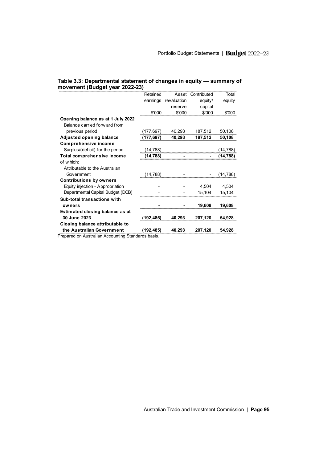|  | Table 3.3: Departmental statement of changes in equity - summary of |  |  |
|--|---------------------------------------------------------------------|--|--|
|  | movement (Budget year 2022-23)                                      |  |  |

|                                   | Retained   | Asset       | Contributed | Total     |
|-----------------------------------|------------|-------------|-------------|-----------|
|                                   | earnings   | revaluation | equity/     | equity    |
|                                   |            | reserve     | capital     |           |
|                                   | \$'000     | \$'000      | \$'000      | \$'000    |
| Opening balance as at 1 July 2022 |            |             |             |           |
| Balance carried forw ard from     |            |             |             |           |
| previous period                   | (177, 697) | 40,293      | 187,512     | 50,108    |
| <b>Adjusted opening balance</b>   | (177,697)  | 40,293      | 187,512     | 50,108    |
| <b>Comprehensive income</b>       |            |             |             |           |
| Surplus/(deficit) for the period  | (14,788)   |             |             | (14, 788) |
| Total comprehensive income        | (14,788)   |             |             | (14, 788) |
| of which:                         |            |             |             |           |
| Attributable to the Australian    |            |             |             |           |
| Government                        | (14,788)   |             |             | (14, 788) |
| <b>Contributions by owners</b>    |            |             |             |           |
| Equity injection - Appropriation  |            |             | 4,504       | 4,504     |
| Departmental Capital Budget (DCB) |            |             | 15,104      | 15,104    |
| Sub-total transactions with       |            |             |             |           |
| owners                            |            |             | 19,608      | 19,608    |
| Estimated closing balance as at   |            |             |             |           |
| 30 June 2023                      | (192, 485) | 40,293      | 207,120     | 54,928    |
| Closing balance attributable to   |            |             |             |           |
| the Australian Government         | (192, 485) | 40,293      | 207,120     | 54,928    |
|                                   |            |             |             |           |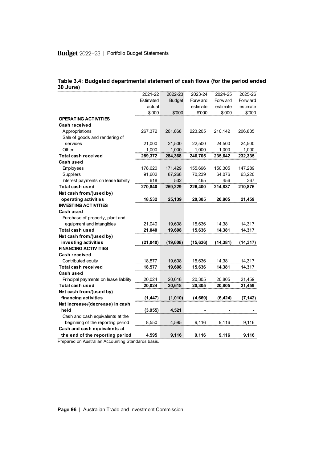| 30 June)                              |           |               |           |           |           |
|---------------------------------------|-----------|---------------|-----------|-----------|-----------|
|                                       | 2021-22   | 2022-23       | 2023-24   | 2024-25   | 2025-26   |
|                                       | Estimated | <b>Budget</b> | Forw ard  | Forw ard  | Forw ard  |
|                                       | actual    |               | estimate  | estimate  | estimate  |
|                                       | \$'000    | \$'000        | \$'000    | \$'000    | \$'000    |
| <b>OPERATING ACTIVITIES</b>           |           |               |           |           |           |
| Cash received                         |           |               |           |           |           |
| Appropriations                        | 267,372   | 261,868       | 223,205   | 210,142   | 206,835   |
| Sale of goods and rendering of        |           |               |           |           |           |
| services                              | 21,000    | 21,500        | 22,500    | 24,500    | 24,500    |
| Other                                 | 1,000     | 1,000         | 1,000     | 1,000     | 1,000     |
| Total cash received                   | 289,372   | 284,368       | 246,705   | 235,642   | 232,335   |
| Cash used                             |           |               |           |           |           |
| Employees                             | 178,620   | 171,429       | 155,696   | 150,305   | 147,289   |
| <b>Suppliers</b>                      | 91,602    | 87,268        | 70,239    | 64,076    | 63,220    |
| Interest payments on lease liability  | 618       | 532           | 465       | 456       | 367       |
| <b>Total cash used</b>                | 270,840   | 259,229       | 226,400   | 214,837   | 210,876   |
| Net cash from/(used by)               |           |               |           |           |           |
| operating activities                  | 18,532    | 25,139        | 20,305    | 20,805    | 21,459    |
| <b>INVESTING ACTIVITIES</b>           |           |               |           |           |           |
| Cash used                             |           |               |           |           |           |
| Purchase of property, plant and       |           |               |           |           |           |
| equipment and intangibles             | 21,040    | 19,608        | 15,636    | 14,381    | 14,317    |
| Total cash used                       | 21,040    | 19,608        | 15,636    | 14,381    | 14,317    |
| Net cash from/(used by)               |           |               |           |           |           |
| investing activities                  | (21, 040) | (19,608)      | (15, 636) | (14, 381) | (14, 317) |
| <b>FINANCING ACTIVITIES</b>           |           |               |           |           |           |
| Cash received                         |           |               |           |           |           |
| Contributed equity                    | 18,577    | 19,608        | 15,636    | 14,381    | 14,317    |
| Total cash received                   | 18,577    | 19,608        | 15,636    | 14,381    | 14,317    |
| Cash used                             |           |               |           |           |           |
| Principal payments on lease liability | 20,024    | 20,618        | 20,305    | 20,805    | 21,459    |
| Total cash used                       | 20,024    | 20,618        | 20,305    | 20,805    | 21,459    |
| Net cash from/(used by)               |           |               |           |           |           |
| financing activities                  | (1, 447)  | (1,010)       | (4,669)   | (6, 424)  | (7, 142)  |
| Net increase/(decrease) in cash       |           |               |           |           |           |
| held                                  | (3,955)   | 4,521         |           |           |           |
| Cash and cash equivalents at the      |           |               |           |           |           |
| beginning of the reporting period     | 8,550     | 4,595         | 9,116     | 9,116     | 9,116     |
| Cash and cash equivalents at          |           |               |           |           |           |
| the end of the reporting period       | 4,595     | 9,116         | 9,116     | 9,116     | 9,116     |

|          | Table 3.4: Budgeted departmental statement of cash flows (for the period ended |  |  |  |
|----------|--------------------------------------------------------------------------------|--|--|--|
| 30 June) |                                                                                |  |  |  |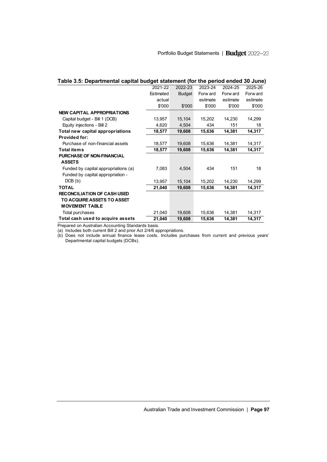| Table 3.5: Departmental capital budget statement (for the period ended 30 June) |           |               |          |          |          |
|---------------------------------------------------------------------------------|-----------|---------------|----------|----------|----------|
|                                                                                 | 2021-22   | 2022-23       | 2023-24  | 2024-25  | 2025-26  |
|                                                                                 | Estimated | <b>Budget</b> | Forw ard | Forw ard | Forw ard |
|                                                                                 | actual    |               | estimate | estimate | estimate |
|                                                                                 | \$'000    | \$'000        | \$'000   | \$'000   | \$'000   |
| <b>NEW CAPITAL APPROPRIATIONS</b>                                               |           |               |          |          |          |
| Capital budget - Bill 1 (DCB)                                                   | 13,957    | 15,104        | 15,202   | 14,230   | 14,299   |
| Equity injections - Bill 2                                                      | 4,620     | 4,504         | 434      | 151      | 18       |
| Total new capital appropriations                                                | 18,577    | 19,608        | 15,636   | 14,381   | 14,317   |
| <b>Provided for:</b>                                                            |           |               |          |          |          |
| Purchase of non-financial assets                                                | 18,577    | 19,608        | 15,636   | 14,381   | 14,317   |
| <b>Total items</b>                                                              | 18,577    | 19,608        | 15,636   | 14,381   | 14,317   |
| <b>PURCHASE OF NON-FINANCIAL</b>                                                |           |               |          |          |          |
| <b>ASSETS</b>                                                                   |           |               |          |          |          |
| Funded by capital appropriations (a)                                            | 7,083     | 4,504         | 434      | 151      | 18       |
| Funded by capital appropriation -                                               |           |               |          |          |          |
| DCB(b)                                                                          | 13,957    | 15,104        | 15,202   | 14,230   | 14,299   |
| <b>TOTAL</b>                                                                    | 21,040    | 19,608        | 15,636   | 14,381   | 14,317   |
| <b>RECONCILIATION OF CASH USED</b>                                              |           |               |          |          |          |
| TO ACQUIRE ASSETS TO ASSET                                                      |           |               |          |          |          |
| <b>MOVEMENT TABLE</b>                                                           |           |               |          |          |          |
| Total purchases                                                                 | 21,040    | 19,608        | 15,636   | 14,381   | 14,317   |
| Total cash used to acquire assets                                               | 21,040    | 19,608        | 15,636   | 14,381   | 14,317   |

(a) Includes both current Bill 2 and prior Act 2/4/6 appropriations.

(b) Does not include annual finance lease costs. Includes purchases from current and previous years' Departmental capital budgets (DCBs).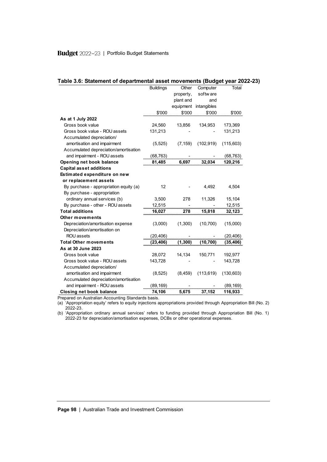| Table 3.6: Statement of departmental asset movements (Budget year 2022-23) |                  |           |             | Total      |
|----------------------------------------------------------------------------|------------------|-----------|-------------|------------|
|                                                                            | <b>Buildings</b> | Other     | Computer    |            |
|                                                                            |                  | property, | softw are   |            |
|                                                                            |                  | plant and | and         |            |
|                                                                            |                  | equipment | intangibles |            |
|                                                                            | \$'000           | \$'000    | \$'000      | \$'000     |
| As at 1 July 2022                                                          |                  |           |             |            |
| Gross book value                                                           | 24,560           | 13,856    | 134,953     | 173,369    |
| Gross book value - ROU assets                                              | 131,213          |           |             | 131,213    |
| Accumulated depreciation/                                                  |                  |           |             |            |
| amortisation and impairment                                                | (5, 525)         | (7, 159)  | (102, 919)  | (115,603)  |
| Accumulated depreciation/amortisation                                      |                  |           |             |            |
| and impairment - ROU assets                                                | (68, 763)        |           |             | (68, 763)  |
| Opening net book balance                                                   | 81,485           | 6,697     | 32,034      | 120,216    |
| <b>Capital asset additions</b>                                             |                  |           |             |            |
| Estimated expenditure on new                                               |                  |           |             |            |
| or replacement assets                                                      |                  |           |             |            |
| By purchase - appropriation equity (a)                                     | 12               |           | 4,492       | 4,504      |
| By purchase - appropriation                                                |                  |           |             |            |
| ordinary annual services (b)                                               | 3,500            | 278       | 11,326      | 15,104     |
| By purchase - other - ROU assets                                           | 12,515           |           |             | 12,515     |
| <b>Total additions</b>                                                     | 16,027           | 278       | 15,818      | 32,123     |
| Other movements                                                            |                  |           |             |            |
| Depreciation/amortisation expense                                          | (3,000)          | (1,300)   | (10, 700)   | (15,000)   |
| Depreciation/amortisation on                                               |                  |           |             |            |
| <b>ROU</b> assets                                                          | (20, 406)        |           |             | (20, 406)  |
| <b>Total Other movements</b>                                               | (23, 406)        | (1, 300)  | (10, 700)   | (35, 406)  |
| As at 30 June 2023                                                         |                  |           |             |            |
| Gross book value                                                           | 28,072           | 14,134    | 150,771     | 192,977    |
| Gross book value - ROU assets                                              | 143,728          |           |             | 143,728    |
| Accumulated depreciation/                                                  |                  |           |             |            |
| amortisation and impairment                                                | (8, 525)         | (8, 459)  | (113, 619)  | (130, 603) |
| Accumulated depreciation/amortisation                                      |                  |           |             |            |
| and impairment - ROU assets                                                | (89, 169)        |           |             | (89, 169)  |
| <b>Closing net book balance</b>                                            | 74,106           | 5,675     | 37,152      | 116,933    |

(a) 'Appropriation equity' refers to equity injections appropriations provided through Appropriation Bill (No. 2) 2022-23.

(b) 'Appropriation ordinary annual services' refers to funding provided through Appropriation Bill (No. 1) 2022-23 for depreciation/amortisation expenses, DCBs or other operational expenses.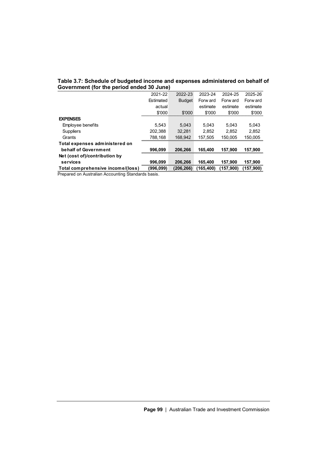| Government (for the period ended 30 June) |           |               |            |           |           |  |  |  |
|-------------------------------------------|-----------|---------------|------------|-----------|-----------|--|--|--|
|                                           | 2021-22   | 2022-23       | 2023-24    | 2024-25   | 2025-26   |  |  |  |
|                                           | Estimated | <b>Budget</b> | Forw ard   | Forw ard  | Forw ard  |  |  |  |
|                                           | actual    |               | estimate   | estimate  | estimate  |  |  |  |
|                                           | \$'000    | \$'000        | \$'000     | \$'000    | \$'000    |  |  |  |
| <b>EXPENSES</b>                           |           |               |            |           |           |  |  |  |
| Employee benefits                         | 5.543     | 5.043         | 5.043      | 5.043     | 5.043     |  |  |  |
| <b>Suppliers</b>                          | 202.388   | 32.281        | 2.852      | 2.852     | 2.852     |  |  |  |
| Grants                                    | 788.168   | 168.942       | 157.505    | 150.005   | 150,005   |  |  |  |
| Total expenses administered on            |           |               |            |           |           |  |  |  |
| behalf of Government                      | 996.099   | 206.266       | 165,400    | 157.900   | 157.900   |  |  |  |
| Net (cost of)/contribution by             |           |               |            |           |           |  |  |  |
| services                                  | 996,099   | 206,266       | 165,400    | 157,900   | 157,900   |  |  |  |
| Total comprehensive income/(loss)         | (996,099) | (206.266)     | (165, 400) | (157.900) | (157,900) |  |  |  |

# **Table 3.7: Schedule of budgeted income and expenses administered on behalf of**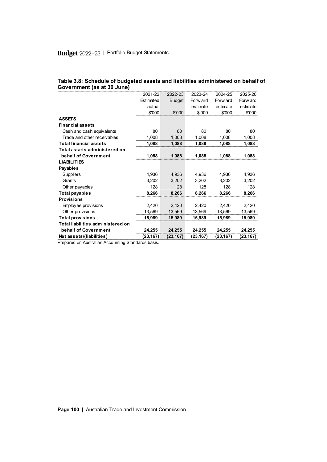| Government (as at 30 June)        |           |               |          |          |          |
|-----------------------------------|-----------|---------------|----------|----------|----------|
|                                   | 2021-22   | 2022-23       | 2023-24  | 2024-25  | 2025-26  |
|                                   | Estimated | <b>Budget</b> | Forw ard | Forw ard | Forw ard |
|                                   | actual    |               | estimate | estimate | estimate |
|                                   | \$'000    | \$'000        | \$'000   | \$'000   | \$'000   |
| <b>ASSETS</b>                     |           |               |          |          |          |
| <b>Financial assets</b>           |           |               |          |          |          |
| Cash and cash equivalents         | 80        | 80            | 80       | 80       | 80       |
| Trade and other receivables       | 1,008     | 1.008         | 1.008    | 1.008    | 1,008    |
| <b>Total financial assets</b>     | 1.088     | 1.088         | 1.088    | 1.088    | 1,088    |
| Total assets administered on      |           |               |          |          |          |
| behalf of Government              | 1.088     | 1,088         | 1.088    | 1,088    | 1,088    |
| <b>LIABILITIES</b>                |           |               |          |          |          |
| Payables                          |           |               |          |          |          |
| <b>Suppliers</b>                  | 4,936     | 4.936         | 4,936    | 4.936    | 4,936    |
| Grants                            | 3.202     | 3.202         | 3.202    | 3.202    | 3,202    |
| Other payables                    | 128       | 128           | 128      | 128      | 128      |
| <b>Total payables</b>             | 8,266     | 8,266         | 8,266    | 8,266    | 8,266    |
| <b>Provisions</b>                 |           |               |          |          |          |
| Employee provisions               | 2,420     | 2,420         | 2,420    | 2,420    | 2,420    |
| Other provisions                  | 13,569    | 13,569        | 13,569   | 13,569   | 13,569   |
| <b>Total provisions</b>           | 15,989    | 15,989        | 15,989   | 15,989   | 15,989   |
| Total liabilities administered on |           |               |          |          |          |
| behalf of Government              | 24,255    | 24,255        | 24,255   | 24,255   | 24,255   |
| Net assets/(liabilities)          | (23,167)  | (23,167)      | (23,167) | (23,167) | (23,167) |

**Table 3.8: Schedule of budgeted assets and liabilities administered on behalf of Government (as at 30 June)**